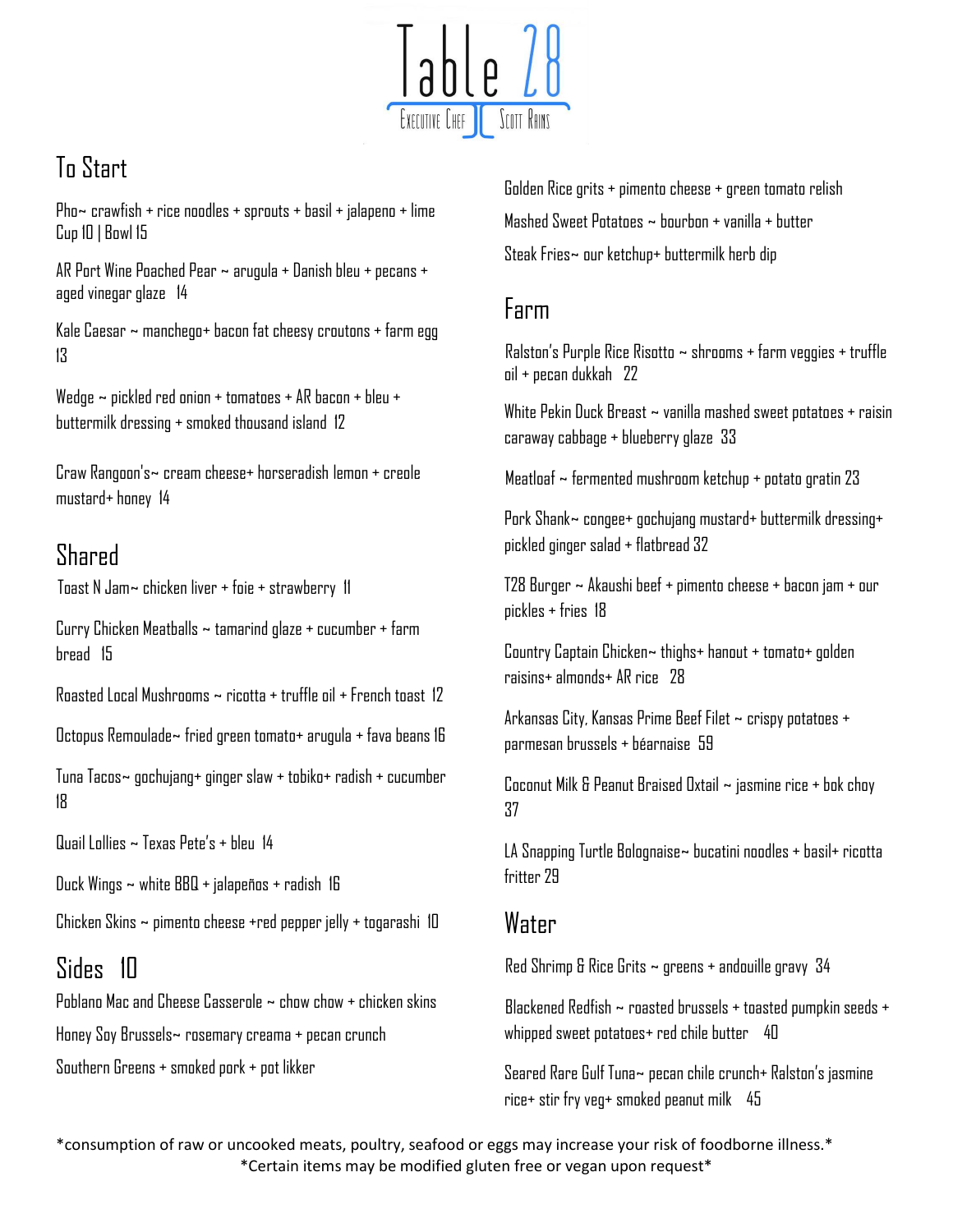

## To Start

Pho $\sim$  crawfish + rice noodles + sprouts + basil + jalapeno + lime Cup 10 | Bowl 15

AR Port Wine Poached Pear ~ arugula + Danish bleu + pecans + aged vinegar glaze 14

Kale Caesar  $\sim$  manchego+ bacon fat cheesy croutons + farm egg 13

Wedge ~ pickled red onion + tomatoes + AR bacon + bleu + buttermilk dressing + smoked thousand island 12

Craw Rangoon's~ cream cheese+ horseradish lemon + creole mustard+ honey 14

## Shared

Toast N Jam~ chicken liver + foie + strawberry 11

Curry Chicken Meatballs ~ tamarind glaze + cucumber + farm bread 15

Roasted Local Mushrooms  $\sim$  ricotta + truffle oil + French toast 17

Octopus Remoulade~ fried green tomato+ arugula + fava beans 16

Tuna Tacos~ gochujang+ ginger slaw + tobiko+ radish + cucumber 18

Quail Lollies ~ Texas Pete's + bleu 14

Duck Wings ~ white BBQ + jalapeños + radish 16

Chicken Skins ~ pimento cheese +red pepper jelly + togarashi 10

### Sides 10

Poblano Mac and Cheese Casserole  $\sim$  chow chow  $\pm$  chicken skins Honey Soy Brussels~ rosemary creama + pecan crunch Southern Greens + smoked pork + pot likker

Golden Rice grits + pimento cheese + green tomato relish Mashed Sweet Potatoes ~ bourbon + vanilla + butter Steak Fries~ our ketchup+ buttermilk herb dip

#### Farm

 Ralston's Purple Rice Risotto ~ shrooms + farm veggies + truffle oil + pecan dukkah 22

White Pekin Duck Breast ~ vanilla mashed sweet potatoes + raisin caraway cabbage + blueberry glaze 33

Meatloaf  $\sim$  fermented mushroom ketchup + potato gratin 23

Pork Shank~ congee+ gochujang mustard+ buttermilk dressing+ pickled ginger salad + flatbread 32

T28 Burger ~ Akaushi beef + pimento cheese + bacon jam + our pickles + fries 18

Country Captain Chicken~ thighs+ hanout + tomato+ golden raisins+ almonds+ AR rice 28

Arkansas City, Kansas Prime Beef Filet ~ crispy potatoes + parmesan brussels + béarnaise 59

Coconut Milk & Peanut Braised Oxtail ~ jasmine rice + bok choy 37

LA Snapping Turtle Bolognaise~ bucatini noodles + basil+ ricotta fritter 79

#### **Water**

Red Shrimp & Rice Grits  $\sim$  greens + andouille gravy 34

 Blackened Redfish ~ roasted brussels + toasted pumpkin seeds + whipped sweet potatoes+ red chile butter 40

Seared Rare Gulf Tuna~ pecan chile crunch+ Ralston's jasmine rice+ stir fry veg+ smoked peanut milk 45

\*consumption of raw or uncooked meats, poultry, seafood or eggs may increase your risk of foodborne illness.\* \*Certain items may be modified gluten free or vegan upon request\*